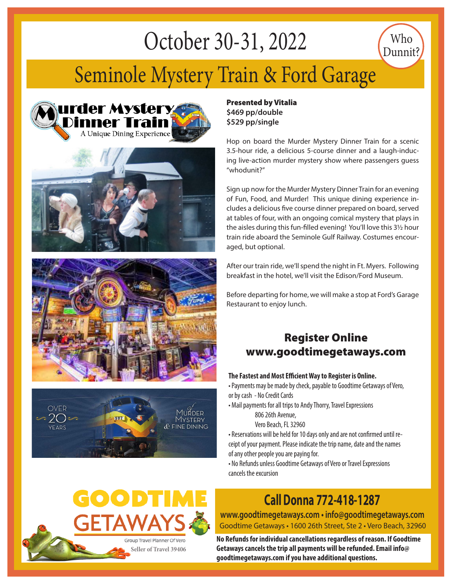# October 30-31, 2022

## Seminole Mystery Train & Ford Garage









Presented by Vitalia **\$469 pp/double \$529 pp/single**

Hop on board the Murder Mystery Dinner Train for a scenic 3.5-hour ride, a delicious 5-course dinner and a laugh-inducing live-action murder mystery show where passengers guess "whodunit?"

Who Dunnit?

Sign up now for the Murder Mystery Dinner Train for an evening of Fun, Food, and Murder! This unique dining experience includes a delicious five course dinner prepared on board, served at tables of four, with an ongoing comical mystery that plays in the aisles during this fun-filled evening! You'll love this 3½ hour train ride aboard the Seminole Gulf Railway. Costumes encouraged, but optional.

After our train ride, we'll spend the night in Ft. Myers. Following breakfast in the hotel, we'll visit the Edison/Ford Museum.

Before departing for home, we will make a stop at Ford's Garage Restaurant to enjoy lunch.

#### Register Online www.goodtimegetaways.com

#### **The Fastest and Most Efficient Way to Register is Online.**

• Payments may be made by check, payable to Goodtime Getaways of Vero, or by cash - No Credit Cards

• Mail payments for all trips to Andy Thorry, Travel Expressions

806 26th Avenue,

Vero Beach, FL 32960

• Reservations will be held for 10 days only and are not confirmed until receipt of your payment. Please indicate the trip name, date and the names of any other people you are paying for.

• No Refunds unless Goodtime Getaways of Vero or Travel Expressions cancels the excursion

## **Call Donna 772-418-1287**

Goodtime Getaways • 1600 26th Street, Ste 2 • Vero Beach, 32960 **www.goodtimegetaways.com • info@goodtimegetaways.com**

**No Refunds for individual cancellations regardless of reason. If Goodtime Getaways cancels the trip all payments will be refunded. Email info@ goodtimegetaways.com if you have additional questions.**